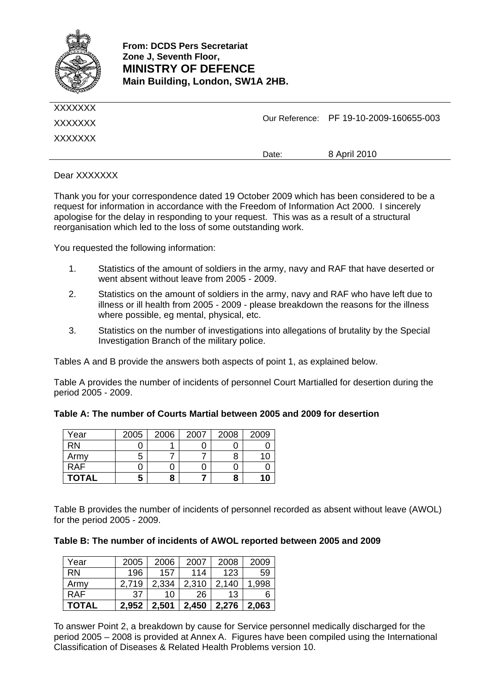

| XXXXXXX<br>XXXXXXX |       | Our Reference: PF 19-10-2009-160655-003 |
|--------------------|-------|-----------------------------------------|
|                    | Date: | 8 April 2010                            |

Dear XXXXXXX

Thank you for your correspondence dated 19 October 2009 which has been considered to be a request for information in accordance with the Freedom of Information Act 2000. I sincerely apologise for the delay in responding to your request. This was as a result of a structural reorganisation which led to the loss of some outstanding work.

You requested the following information:

- 1. Statistics of the amount of soldiers in the army, navy and RAF that have deserted or went absent without leave from 2005 - 2009.
- 2. Statistics on the amount of soldiers in the army, navy and RAF who have left due to illness or ill health from 2005 - 2009 - please breakdown the reasons for the illness where possible, eg mental, physical, etc.
- 3. Statistics on the number of investigations into allegations of brutality by the Special Investigation Branch of the military police.

Tables A and B provide the answers both aspects of point 1, as explained below.

Table A provides the number of incidents of personnel Court Martialled for desertion during the period 2005 - 2009.

| Table A: The number of Courts Martial between 2005 and 2009 for desertion |  |  |  |  |  |  |  |  |  |  |  |  |
|---------------------------------------------------------------------------|--|--|--|--|--|--|--|--|--|--|--|--|
|---------------------------------------------------------------------------|--|--|--|--|--|--|--|--|--|--|--|--|

| Year         | 2005 | 2006 | 2007 | 2008 | 2009 |
|--------------|------|------|------|------|------|
| <b>RN</b>    |      |      |      |      |      |
| Army         | 5    |      |      |      |      |
| <b>RAF</b>   |      |      |      |      |      |
| <b>TOTAL</b> | 5    |      |      | 8    | 10   |

Table B provides the number of incidents of personnel recorded as absent without leave (AWOL) for the period 2005 - 2009.

#### **Table B: The number of incidents of AWOL reported between 2005 and 2009**

| Year         | 2005  | 2006  | 2007  | 2008  | 2009  |
|--------------|-------|-------|-------|-------|-------|
| <b>RN</b>    | 196   | 157   | 114   | 123   | 59    |
| Army         | 2,719 | 2,334 | 2,310 | 2,140 | 1,998 |
| <b>RAF</b>   | 37    | 10    | 26    | 13    | 6     |
| <b>TOTAL</b> | 2,952 | 2.501 | 2,450 | 2,276 | 2,063 |

To answer Point 2, a breakdown by cause for Service personnel medically discharged for the period 2005 – 2008 is provided at Annex A. Figures have been compiled using the International Classification of Diseases & Related Health Problems version 10.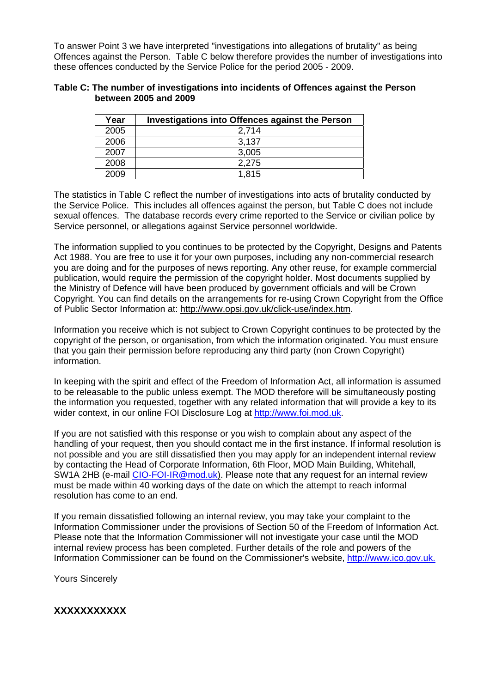To answer Point 3 we have interpreted "investigations into allegations of brutality" as being Offences against the Person. Table C below therefore provides the number of investigations into these offences conducted by the Service Police for the period 2005 - 2009.

#### **Table C: The number of investigations into incidents of Offences against the Person between 2005 and 2009**

| Year | Investigations into Offences against the Person |
|------|-------------------------------------------------|
| 2005 | 2,714                                           |
| 2006 | 3,137                                           |
| 2007 | 3,005                                           |
| 2008 | 2.275                                           |
| 2009 | 1.815                                           |

The statistics in Table C reflect the number of investigations into acts of brutality conducted by the Service Police. This includes all offences against the person, but Table C does not include sexual offences. The database records every crime reported to the Service or civilian police by Service personnel, or allegations against Service personnel worldwide.

The information supplied to you continues to be protected by the Copyright, Designs and Patents Act 1988. You are free to use it for your own purposes, including any non-commercial research you are doing and for the purposes of news reporting. Any other reuse, for example commercial publication, would require the permission of the copyright holder. Most documents supplied by the Ministry of Defence will have been produced by government officials and will be Crown Copyright. You can find details on the arrangements for re-using Crown Copyright from the Office of Public Sector Information at: http://www.opsi.gov.uk/click-use/index.htm.

Information you receive which is not subject to Crown Copyright continues to be protected by the copyright of the person, or organisation, from which the information originated. You must ensure that you gain their permission before reproducing any third party (non Crown Copyright) information.

In keeping with the spirit and effect of the Freedom of Information Act, all information is assumed to be releasable to the public unless exempt. The MOD therefore will be simultaneously posting the information you requested, together with any related information that will provide a key to its wider context, in our online FOI Disclosure Log at [http://www.foi.mod.uk](http://www.foi.mod.uk/).

If you are not satisfied with this response or you wish to complain about any aspect of the handling of your request, then you should contact me in the first instance. If informal resolution is not possible and you are still dissatisfied then you may apply for an independent internal review by contacting the Head of Corporate Information, 6th Floor, MOD Main Building, Whitehall, SW1A 2HB (e-mail [CIO-FOI-IR@mod.uk](mailto:CIO-FOI-IR@mod.uk)). Please note that any request for an internal review must be made within 40 working days of the date on which the attempt to reach informal resolution has come to an end.

If you remain dissatisfied following an internal review, you may take your complaint to the Information Commissioner under the provisions of Section 50 of the Freedom of Information Act. Please note that the Information Commissioner will not investigate your case until the MOD internal review process has been completed. Further details of the role and powers of the Information Commissioner can be found on the Commissioner's website, [http://www.ico.gov.uk.](mailto:http://www.ico.gov.uk.) 

Yours Sincerely

**XXXXXXXXXXX**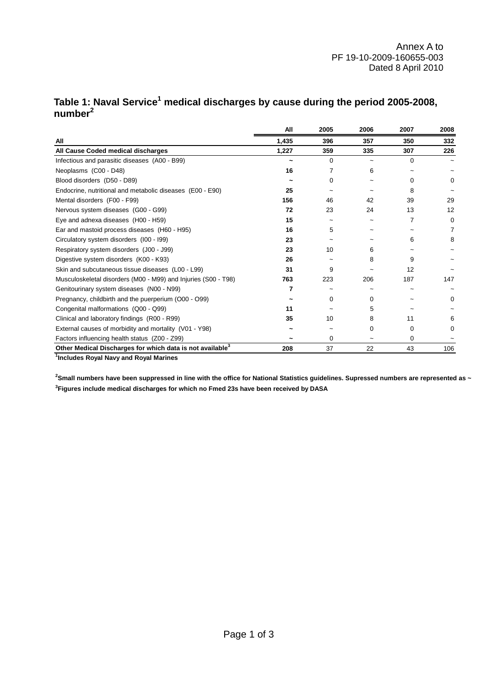|                                                                       | All   | 2005     | 2006 | 2007     | 2008 |
|-----------------------------------------------------------------------|-------|----------|------|----------|------|
| All                                                                   | 1,435 | 396      | 357  | 350      | 332  |
| All Cause Coded medical discharges                                    | 1,227 | 359      | 335  | 307      | 226  |
| Infectious and parasitic diseases (A00 - B99)                         |       | $\Omega$ |      | $\Omega$ |      |
| Neoplasms (C00 - D48)                                                 | 16    | 7        | 6    |          |      |
| Blood disorders (D50 - D89)                                           |       | $\Omega$ |      | 0        | 0    |
| Endocrine, nutritional and metabolic diseases (E00 - E90)             | 25    |          |      | 8        |      |
| Mental disorders (F00 - F99)                                          | 156   | 46       | 42   | 39       | 29   |
| Nervous system diseases (G00 - G99)                                   | 72    | 23       | 24   | 13       | 12   |
| Eye and adnexa diseases (H00 - H59)                                   | 15    |          |      | 7        | 0    |
| Ear and mastoid process diseases (H60 - H95)                          | 16    | 5        | ~    |          | 7    |
| Circulatory system disorders (I00 - I99)                              | 23    |          |      | 6        | 8    |
| Respiratory system disorders (J00 - J99)                              | 23    | 10       | 6    |          |      |
| Digestive system disorders (K00 - K93)                                | 26    |          | 8    | 9        |      |
| Skin and subcutaneous tissue diseases (L00 - L99)                     | 31    | 9        |      | 12       |      |
| Musculoskeletal disorders (M00 - M99) and Injuries (S00 - T98)        | 763   | 223      | 206  | 187      | 147  |
| Genitourinary system diseases (N00 - N99)                             | 7     |          |      |          |      |
| Pregnancy, childbirth and the puerperium (O00 - O99)                  |       | 0        | 0    |          | 0    |
| Congenital malformations (Q00 - Q99)                                  | 11    |          | 5    |          |      |
| Clinical and laboratory findings (R00 - R99)                          | 35    | 10       | 8    | 11       | 6    |
| External causes of morbidity and mortality (V01 - Y98)                |       |          | 0    | $\Omega$ | 0    |
| Factors influencing health status (Z00 - Z99)                         |       | $\Omega$ |      | $\Omega$ |      |
| Other Medical Discharges for which data is not available <sup>3</sup> | 208   | 37       | 22   | 43       | 106  |

## Table 1: Naval Service<sup>1</sup> medical discharges by cause during the period 2005-2008, **number<sup>2</sup>**

**1 Includes Royal Navy and Royal Marines**

**3 Figures include medical discharges for which no Fmed 23s have been received by DASA 2 Small numbers have been suppressed in line with the office for National Statistics guidelines. Supressed numbers are represented as ~**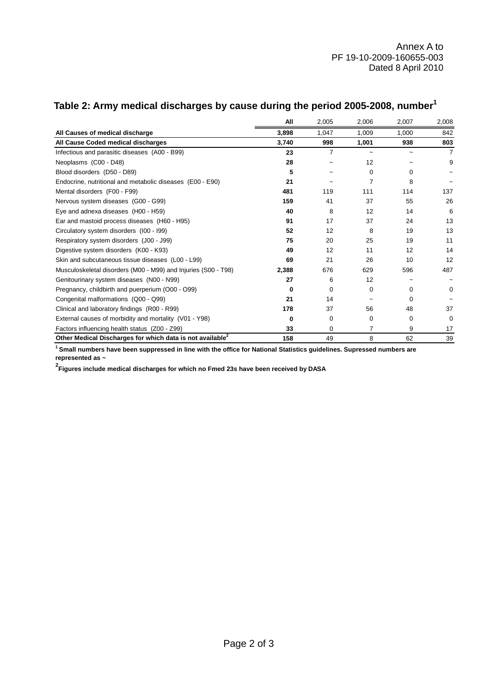|                                                                       | All   | 2,005          | 2,006    | 2,007       | 2,008    |
|-----------------------------------------------------------------------|-------|----------------|----------|-------------|----------|
| All Causes of medical discharge                                       | 3,898 | 1,047          | 1,009    | 1,000       | 842      |
| All Cause Coded medical discharges                                    | 3,740 | 998            | 1,001    | 938         | 803      |
| Infectious and parasitic diseases (A00 - B99)                         | 23    | $\overline{7}$ |          |             | 7        |
| Neoplasms (C00 - D48)                                                 | 28    |                | 12       |             | 9        |
| Blood disorders (D50 - D89)                                           | 5     |                | $\Omega$ | $\Omega$    |          |
| Endocrine, nutritional and metabolic diseases (E00 - E90)             | 21    |                | 7        | 8           |          |
| Mental disorders (F00 - F99)                                          | 481   | 119            | 111      | 114         | 137      |
| Nervous system diseases (G00 - G99)                                   | 159   | 41             | 37       | 55          | 26       |
| Eye and adnexa diseases (H00 - H59)                                   | 40    | 8              | 12       | 14          | 6        |
| Ear and mastoid process diseases (H60 - H95)                          | 91    | 17             | 37       | 24          | 13       |
| Circulatory system disorders (I00 - I99)                              | 52    | 12             | 8        | 19          | 13       |
| Respiratory system disorders (J00 - J99)                              | 75    | 20             | 25       | 19          | 11       |
| Digestive system disorders (K00 - K93)                                | 49    | 12             | 11       | 12          | 14       |
| Skin and subcutaneous tissue diseases (L00 - L99)                     | 69    | 21             | 26       | 10          | 12       |
| Musculoskeletal disorders (M00 - M99) and Injuries (S00 - T98)        | 2,388 | 676            | 629      | 596         | 487      |
| Genitourinary system diseases (N00 - N99)                             | 27    | 6              | 12       | $\sim$      |          |
| Pregnancy, childbirth and puerperium (O00 - O99)                      | 0     | 0              | $\Omega$ | 0           | 0        |
| Congenital malformations (Q00 - Q99)                                  | 21    | 14             | ~        | $\Omega$    |          |
| Clinical and laboratory findings (R00 - R99)                          | 178   | 37             | 56       | 48          | 37       |
| External causes of morbidity and mortality (V01 - Y98)                | 0     | 0              | 0        | $\mathbf 0$ | $\Omega$ |
| Factors influencing health status (Z00 - Z99)                         | 33    | 0              | 7        | 9           | 17       |
| Other Medical Discharges for which data is not available <sup>2</sup> | 158   | 49             | 8        | 62          | 39       |

# **Table 2: Army medical discharges by cause during the period 2005-2008, number1**

**1 Small numbers have been suppressed in line with the office for National Statistics guidelines. Supressed numbers are represented as ~**

**2 Figures include medical discharges for which no Fmed 23s have been received by DASA**